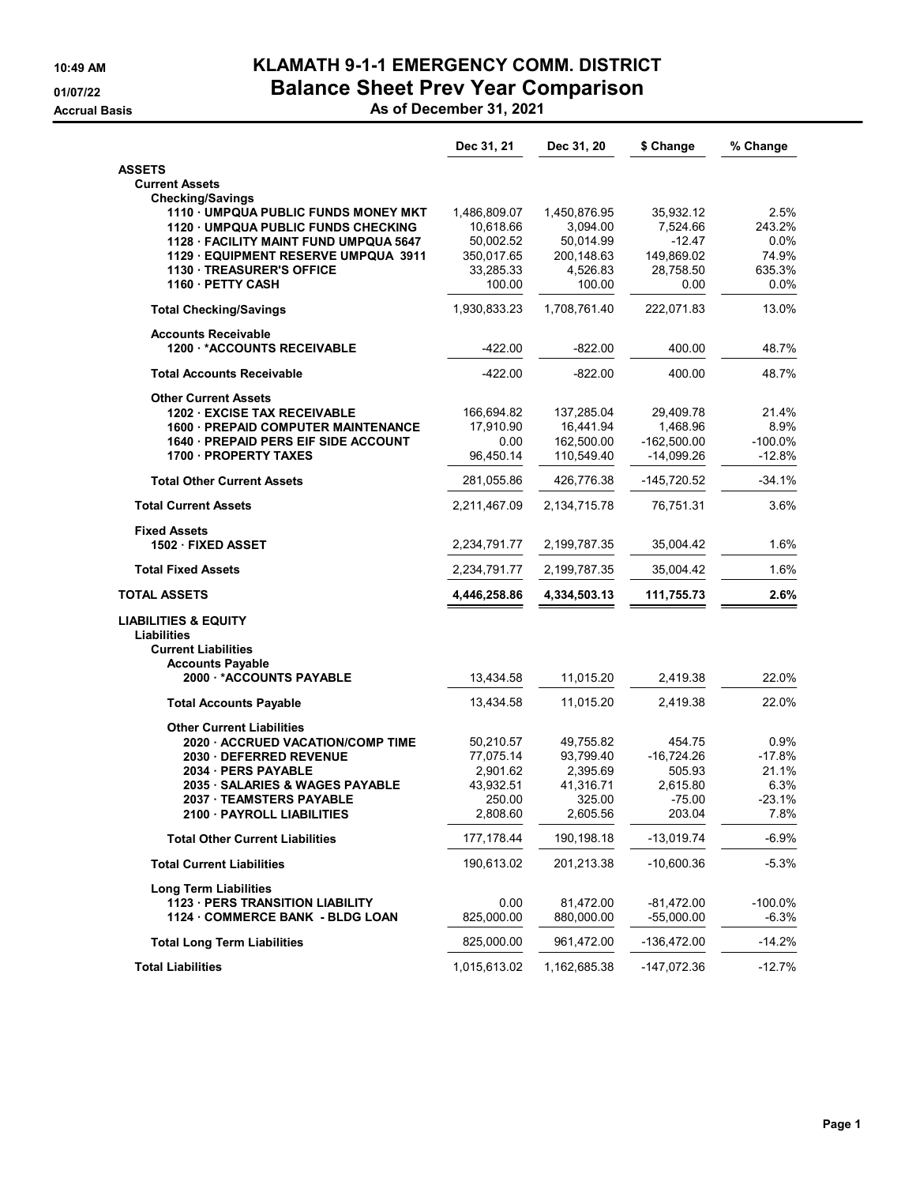## 10:49 AM KLAMATH 9-1-1 EMERGENCY COMM. DISTRICT 01/07/22 Balance Sheet Prev Year Comparison

Accrual Basis As of December 31, 2021

|                                                           | Dec 31, 21          | Dec 31, 20         | \$ Change          | % Change         |
|-----------------------------------------------------------|---------------------|--------------------|--------------------|------------------|
| <b>ASSETS</b>                                             |                     |                    |                    |                  |
| <b>Current Assets</b>                                     |                     |                    |                    |                  |
| <b>Checking/Savings</b>                                   |                     |                    |                    |                  |
| 1110 UMPQUA PUBLIC FUNDS MONEY MKT                        | 1,486,809.07        | 1,450,876.95       | 35,932.12          | 2.5%             |
| 1120 UMPQUA PUBLIC FUNDS CHECKING                         | 10,618.66           | 3,094.00           | 7,524.66           | 243.2%           |
| 1128 · FACILITY MAINT FUND UMPQUA 5647                    | 50,002.52           | 50,014.99          | $-12.47$           | 0.0%             |
| 1129 · EQUIPMENT RESERVE UMPQUA 3911                      | 350,017.65          | 200,148.63         | 149,869.02         | 74.9%            |
| <b>1130 TREASURER'S OFFICE</b><br>1160 PETTY CASH         | 33,285.33<br>100.00 | 4,526.83<br>100.00 | 28,758.50<br>0.00  | 635.3%<br>0.0%   |
|                                                           |                     |                    |                    |                  |
| <b>Total Checking/Savings</b>                             | 1,930,833.23        | 1,708,761.40       | 222,071.83         | 13.0%            |
| <b>Accounts Receivable</b><br>1200 *ACCOUNTS RECEIVABLE   | $-422.00$           | $-822.00$          | 400.00             | 48.7%            |
| <b>Total Accounts Receivable</b>                          | $-422.00$           | $-822.00$          | 400.00             | 48.7%            |
| <b>Other Current Assets</b>                               |                     |                    |                    |                  |
| 1202 EXCISE TAX RECEIVABLE                                | 166,694.82          | 137,285.04         | 29,409.78          | 21.4%            |
| 1600 - PREPAID COMPUTER MAINTENANCE                       | 17.910.90           | 16,441.94          | 1,468.96           | 8.9%             |
| <b>1640 - PREPAID PERS EIF SIDE ACCOUNT</b>               | 0.00                | 162,500.00         | $-162,500.00$      | $-100.0%$        |
| 1700 PROPERTY TAXES                                       | 96,450.14           | 110,549.40         | -14,099.26         | -12.8%           |
| <b>Total Other Current Assets</b>                         | 281,055.86          | 426,776.38         | -145,720.52        | $-34.1%$         |
| <b>Total Current Assets</b>                               | 2,211,467.09        | 2,134,715.78       | 76,751.31          | 3.6%             |
| <b>Fixed Assets</b>                                       |                     |                    |                    |                  |
| 1502 FIXED ASSET                                          | 2,234,791.77        | 2, 199, 787. 35    | 35,004.42          | 1.6%             |
| <b>Total Fixed Assets</b>                                 | 2,234,791.77        | 2, 199, 787. 35    | 35,004.42          | 1.6%             |
| <b>TOTAL ASSETS</b>                                       | 4,446,258.86        | 4,334,503.13       | 111,755.73         | 2.6%             |
| <b>LIABILITIES &amp; EQUITY</b>                           |                     |                    |                    |                  |
| Liabilities                                               |                     |                    |                    |                  |
| <b>Current Liabilities</b>                                |                     |                    |                    |                  |
| <b>Accounts Payable</b><br>2000 *ACCOUNTS PAYABLE         | 13,434.58           | 11,015.20          | 2,419.38           | 22.0%            |
|                                                           |                     |                    |                    |                  |
| <b>Total Accounts Payable</b>                             | 13,434.58           | 11,015.20          | 2,419.38           | 22.0%            |
| <b>Other Current Liabilities</b>                          |                     |                    |                    |                  |
| 2020 ACCRUED VACATION/COMP TIME                           | 50,210.57           | 49,755.82          | 454.75             | 0.9%             |
| 2030 DEFERRED REVENUE                                     | 77,075.14           | 93,799.40          | $-16,724.26$       | $-17.8%$         |
| 2034 PERS PAYABLE                                         | 2,901.62            | 2,395.69           | 505.93             | 21.1%            |
| 2035 · SALARIES & WAGES PAYABLE<br>2037 TEAMSTERS PAYABLE | 43,932.51<br>250.00 | 41,316.71          | 2,615.80           | 6.3%<br>$-23.1%$ |
| 2100 PAYROLL LIABILITIES                                  | 2,808.60            | 325.00<br>2,605.56 | $-75.00$<br>203.04 | 7.8%             |
|                                                           |                     |                    |                    |                  |
| <b>Total Other Current Liabilities</b>                    | 177, 178.44         | 190,198.18         | $-13,019.74$       | $-6.9%$          |
| <b>Total Current Liabilities</b>                          | 190,613.02          | 201,213.38         | $-10,600.36$       | $-5.3%$          |
| <b>Long Term Liabilities</b>                              |                     |                    |                    |                  |
| <b>1123 - PERS TRANSITION LIABILITY</b>                   | 0.00                | 81,472.00          | $-81,472.00$       | -100.0%          |
| 1124 COMMERCE BANK - BLDG LOAN                            | 825,000.00          | 880,000.00         | $-55,000.00$       | $-6.3%$          |
| <b>Total Long Term Liabilities</b>                        | 825,000.00          | 961,472.00         | -136,472.00        | $-14.2%$         |
| <b>Total Liabilities</b>                                  | 1,015,613.02        | 1,162,685.38       | $-147,072.36$      | $-12.7%$         |